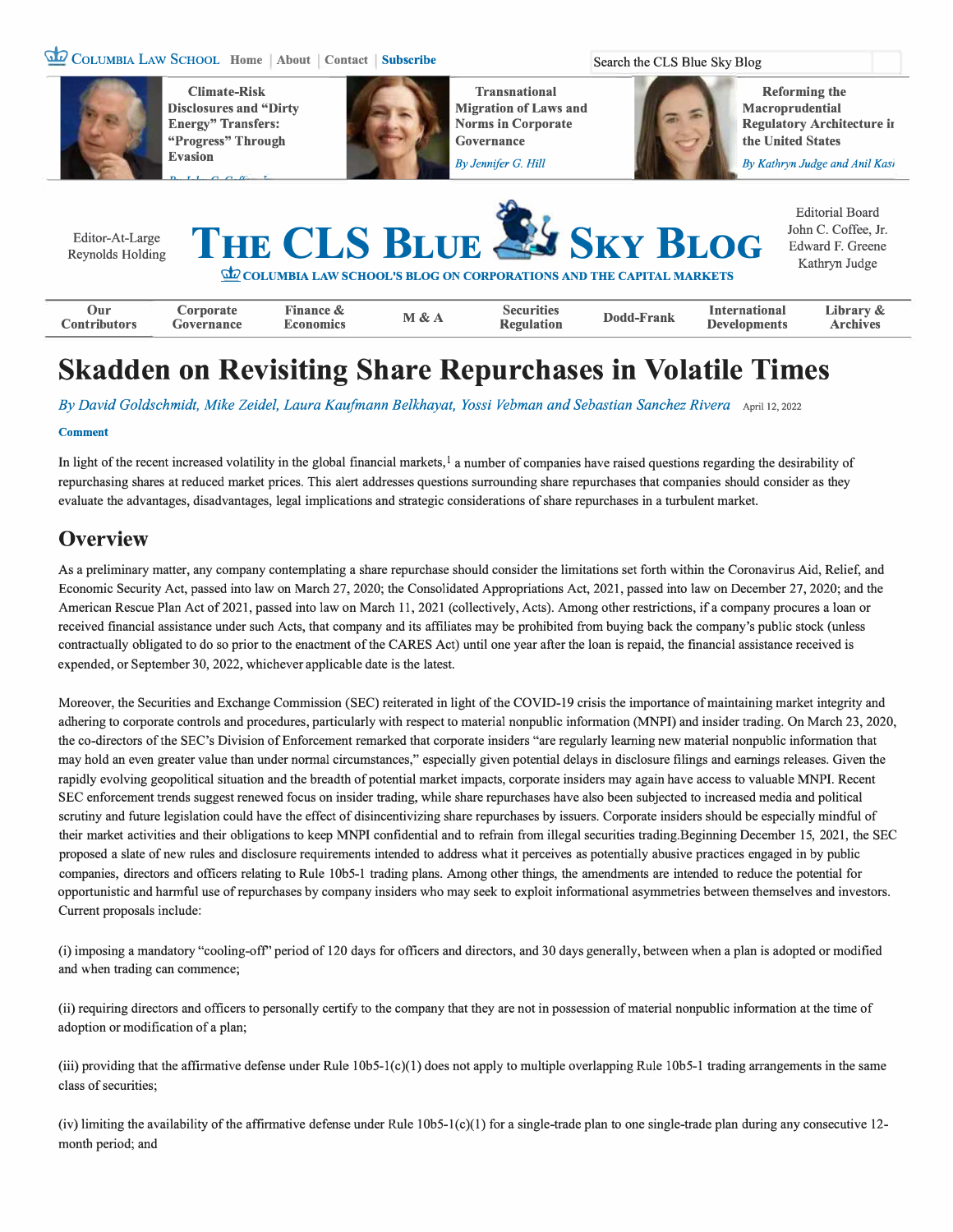### **� COLUMBIA LAW SCHOOL Home About Contact Subscribe Search the CLS Blue Sky Blog**



**Climate-Risk Disclosures and "Dirty Energy" Transfers: "Progress" Through Evasion** 



**Transnational Migration of Laws and Norms in Corporate Governance** 

**Reforming the Macroprudential Regulatory Architecture ir the United States** 

*By Jennifer G. Hill* By Kathryn Judge and Anil Kasi



# **Skadden on Revisiting Share Repurchases in Volatile Times**

*By David Goldschmidt, Mike Zeidel, Laura Kaufmann Belkhayat, Yossi Vebman and Sebastian Sanchez Rivera* April 12, 2022

#### **Comment**

In light of the recent increased volatility in the global financial markets, **1** a number of companies have raised questions regarding the desirability of repurchasing shares at reduced market prices. This alert addresses questions surrounding share repurchases that companies should consider as they evaluate the advantages, disadvantages, legal implications and strategic considerations of share repurchases in a turbulent market.

## **Overview**

As a preliminary matter, any company contemplating a share repurchase should consider the limitations set forth within the Coronavirus Aid, Relief, and Economic Security Act, passed into law on March 27, 2020; the Consolidated Appropriations Act, 2021, passed into law on December 27, 2020; and the American Rescue Plan Act of 2021, passed into law on March 11, 2021 ( collectively, Acts). Among other restrictions, if a company procures a loan or received financial assistance under such Acts, that company and its affiliates may be prohibited from buying back the company's public stock (unless contractually obligated to do so prior to the enactment of the CARES Act) until one year after the loan is repaid, the financial assistance received is expended, or September 30, 2022, whichever applicable date is the latest.

Moreover, the Securities and Exchange Commission (SEC) reiterated in light of the COVID-19 crisis the importance of maintaining market integrity and adhering to corporate controls and procedures, particularly with respect to material nonpublic information (MNPI) and insider trading. On March 23, 2020, the co-directors of the SEC's Division of Enforcement remarked that corporate insiders "are regularly learning new material nonpublic information that may hold an even greater value than under normal circumstances," especially given potential delays in disclosure filings and earnings releases. Given the rapidly evolving geopolitical situation and the breadth of potential market impacts, corporate insiders may again have access to valuable MNPI. Recent SEC enforcement trends suggest renewed focus on insider trading, while share repurchases have also been subjected to increased media and political scrutiny and future legislation could have the effect of disincentivizing share repurchases by issuers. Corporate insiders should be especially mindful of their market activities and their obligations to keep MNPI confidential and to refrain from illegal securities trading.Beginning December 15, 2021, the SEC proposed a slate of new rules and disclosure requirements intended to address what it perceives as potentially abusive practices engaged in by public companies, directors and officers relating to Rule 10b5-1 trading plans. Among other things, the amendments are intended to reduce the potential for opportunistic and harmful use of repurchases by company insiders who may seek to exploit informational asymmetries between themselves and investors. Current proposals include:

(i) imposing a mandatory "cooling-off' period of 120 days for officers and directors, and 30 days generally, between when a plan is adopted or modified and when trading can commence;

(ii) requiring directors and officers to personally certify to the company that they are not in possession of material nonpublic information at the time of adoption or modification of a plan;

(iii) providing that the affrrrnative defense under Rule 10b5-l(c)(l) does not apply to multiple overlapping Rule 10b5-1 trading arrangements in the same class of securities;

(iv) limiting the availability of the affirmative defense under Rule  $10b5-1(c)(1)$  for a single-trade plan to one single-trade plan during any consecutive 12month period; and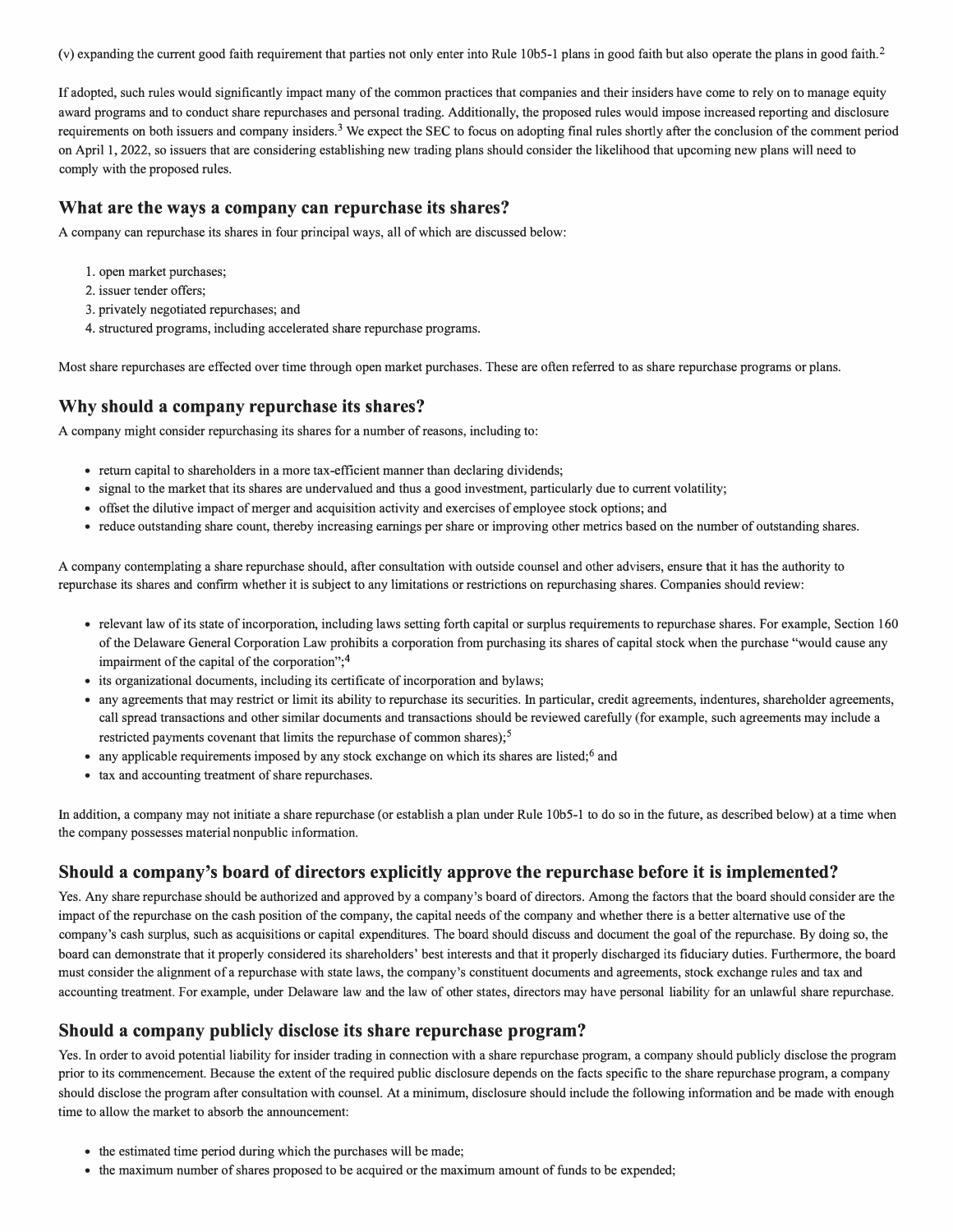(v) expanding the current good faith requirement that parties not only enter into Rule 10b5-1 plans in good faith but also operate the plans in good faith.<sup>2</sup>

If adopted, such rules would significantly impact many of the common practices that companies and their insiders have come to rely on to manage equity award programs and to conduct share repurchases and personal trading. Additionally, the proposed rules would impose increased reporting and disclosure requirements on both issuers and company insiders.3 We expect the SEC to focus on adopting final rules shortly after the conclusion of the comment period on April l, 2022, so issuers that are considering establishing new trading plans should consider the likelihood that upcoming new plans will need to comply with the proposed rules.

#### **What are the ways a company can repurchase its shares?**

A company can repurchase its shares in four principal ways, all of which are discussed below:

- 1. open market purchases;
- 2. issuer tender offers;
- 3. privately negotiated repurchases; and
- 4. structured programs, including accelerated share repurchase programs.

Most share repurchases are effected over time through open market purchases. These are often referred to as share repurchase programs or plans.

#### **Why should a company repurchase its shares?**

A company might consider repurchasing its shares for a number of reasons, including to:

- return capital to shareholders in a more tax-efficient manner than declaring dividends;
- signal to the market that its shares are undervalued and thus a good investment, particularly due to current volatility;
- offset the dilutive impact of merger and acquisition activity and exercises of employee stock options; and
- reduce outstanding share count, thereby increasing earnings per share or improving other metrics based on the number of outstanding shares.

A company contemplating a share repurchase should, after consultation with outside counsel and other advisers, ensure that it has the authority to repurchase its shares and confirm whether it is subject to any limitations or restrictions on repurchasing shares. Companies should review:

- relevant law of its state of incorporation, including laws setting forth capital or surplus requirements to repurchase shares. For example, Section 160 of the Delaware General Corporation Law prohibits a corporation from purchasing its shares of capital stock when the purchase "would cause any impairment of the capital of the corporation";<sup>4</sup>
- its organizational documents, including its certificate of incorporation and bylaws;
- any agreements that may restrict or limit its ability to repurchase its securities. In particular, credit agreements, indentures, shareholder agreements, call spread transactions and other similar documents and transactions should be reviewed carefully (for example, such agreements may include a restricted payments covenant that limits the repurchase of common shares);<sup>5</sup>
- any applicable requirements imposed by any stock exchange on which its shares are listed;  $6$  and
- tax and accounting treatment of share repurchases.

In addition, a company may not initiate a share repurchase (or establish a plan under Rule 10b5-l to do so in the future, as described below) at a time when the company possesses material nonpublic information.

#### **Should a company's board of directors explicitly approve the repurchase before it is implemented?**

Yes. Any share repurchase should be authorized and approved by a company's board of directors. Among the factors that the board should consider are the impact of the repurchase on the cash position of the company, the capital needs of the company and whether there is a better alternative use of the company's cash surplus, such as acquisitions or capital expenditures. The board should discuss and document the goal of the repurchase. By doing so, the board can demonstrate that it properly considered its shareholders' best interests and that it properly discharged its fiduciary duties. Furthermore, the board must consider the alignment of a repurchase with state laws, the company's constituent documents and agreements, stock exchange rules and tax and accounting treatment. For example, under Delaware law and the law of other states, directors may have personal liability for an unlawful share repurchase.

#### **Should a company publicly disclose its share repurchase program?**

Yes. In order to avoid potential liability for insider trading in connection with a share repurchase program, a company should publicly disclose the program prior to its commencement. Because the extent of the required public disclosure depends on the facts specific to the share repurchase program, a company should disclose the program after consultation with counsel. At a minimum, disclosure should include the following information and be made with enough time to allow the market to absorb the announcement:

- the estimated time period during which the purchases will be made;
- the maximum number of shares proposed to be acquired or the maximum amount of funds to be expended;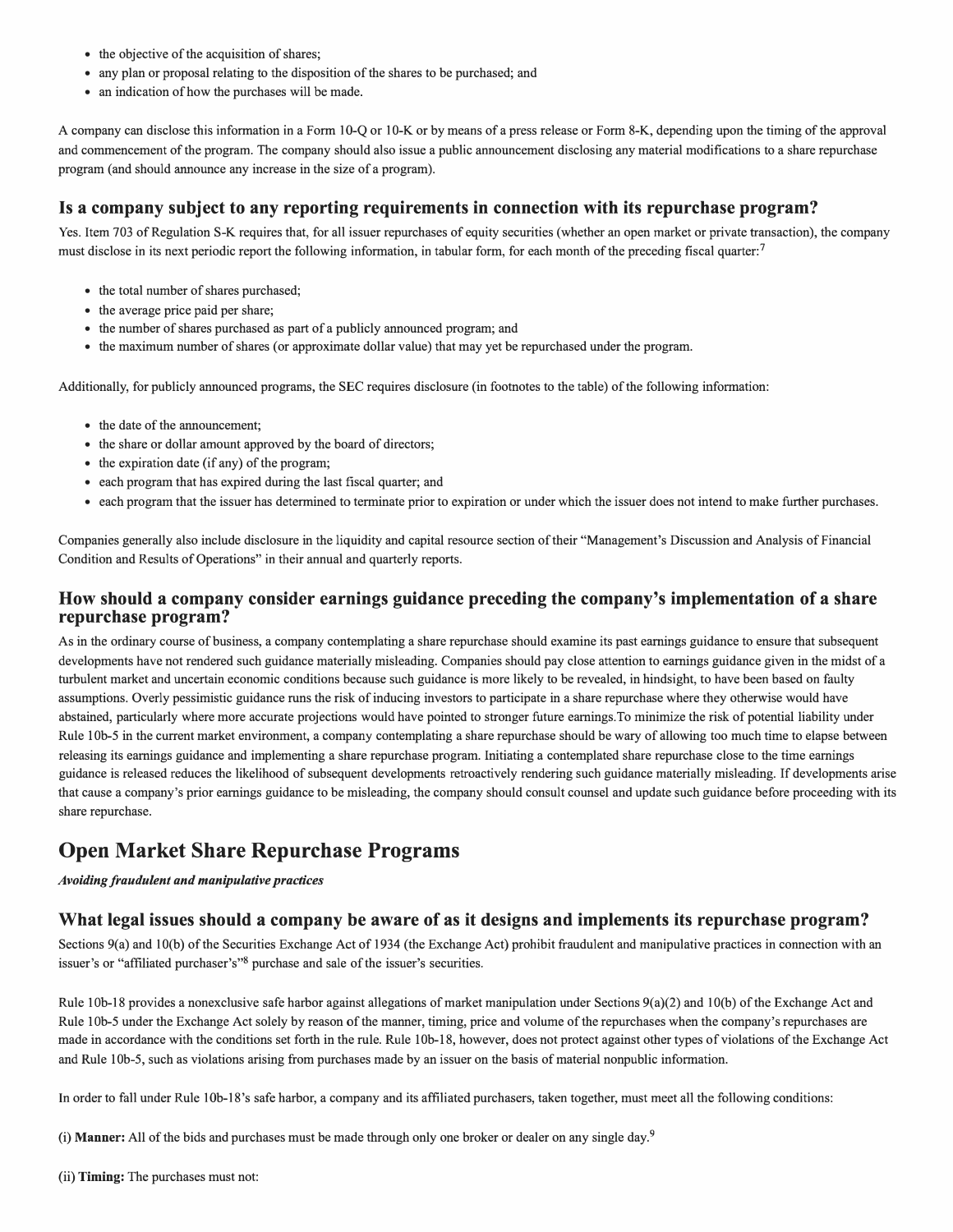- the objective of the acquisition of shares;
- any plan or proposal relating to the disposition of the shares to be purchased; and
- an indication of how the purchases will be made.

A company can disclose this information in a Form 10-Q or 10-K or by means ofa press release or Form 8-K, depending upon the timing of the approval and commencement of the program. The company should also issue a public announcement disclosing any material modifications to a share repurchase program (and should announce any increase in the size of a program).

#### **Is a company subject to any reporting requirements in connection with its repurchase program?**

Yes. Item 703 of Regulation S-K requires that, for all issuer repurchases of equity securities (whether an open market or private transaction), the company must disclose in its next periodic report the following information, in tabular form, for each month of the preceding fiscal quarter:<sup>7</sup>

- the total number of shares purchased;
- the average price paid per share;
- the number of shares purchased as part of a publicly announced program; and
- the maximum number of shares (or approximate dollar value) that may yet be repurchased under the program.

Additionally, for publicly announced programs, the SEC requires disclosure (in footnotes to the table) of the following information:

- the date of the announcement;
- the share or dollar amount approved by the board of directors;
- the expiration date (if any) of the program;
- each program that has expired during the last fiscal quarter; and
- each program that the issuer has determined to terminate prior to expiration or under which the issuer does not intend to make further purchases.

Companies generally also include disclosure in the liquidity and capital resource section of their "Management's Discussion and Analysis of Financial Condition and Results of Operations" in their annual and quarterly reports.

#### **How should a company consider earnings guidance preceding the company's implementation of a share repurchase program?**

As in the ordinary course of business, a company contemplating a share repurchase should examine its past earnings guidance to ensure that subsequent developments have not rendered such guidance materially misleading. Companies should pay close attention to earnings guidance given in the midst of a turbulent market and uncertain economic conditions because such guidance is more likely to be revealed, in hindsight, to have been based on faulty assumptions. Overly pessimistic guidance runs the risk of inducing investors to participate in a share repurchase where they otherwise would have abstained, particularly where more accurate projections would have pointed to stronger future earnings.To minimize the risk of potential liability under Rule 1 0b-5 in the current market environment, a company contemplating a share repurchase should be wary of allowing too much time to elapse between releasing its earnings guidance and implementing a share repurchase program. Initiating a contemplated share repurchase close to the time earnings guidance is released reduces the likelihood of subsequent developments retroactively rendering such guidance materially misleading. If developments arise that cause a company's prior earnings guidance to be misleading, the company should consult counsel and update such guidance before proceeding with its share repurchase.

# **Open Market Share Repurchase Programs**

#### *Avoiding fraudulent and manipulative practices*

#### **What legal issues should a company be aware of as it designs and implements its repurchase program?**

Sections 9(a) and 10(b) of the Securities Exchange Act of 1934 (the Exchange Act) prohibit fraudulent and manipulative practices in connection with an issuer's or "affiliated purchaser's"8 purchase and sale of the issuer's securities.

Rule lOb-18 provides a nonexclusive safe harbor against allegations of market manipulation under Sections 9(a)(2) and I0(b) of the Exchange Act and Rule lOb-5 under the Exchange Act solely by reason of the manner, timing, price and volume of the repurchases when the company's repurchases are made in accordance with the conditions set forth in the rule. Rule l 0b-18, however, does not protect against other types of violations of the Exchange Act and Rule l0b-5, such as violations arising from purchases made by an issuer on the basis of material nonpublic information.

In order to fall under Rule 10b-18's safe harbor, a company and its affiliated purchasers, taken together, must meet all the following conditions:

(i) **Manner:** All of the bids and purchases must be made through only one broker or dealer on any single day.9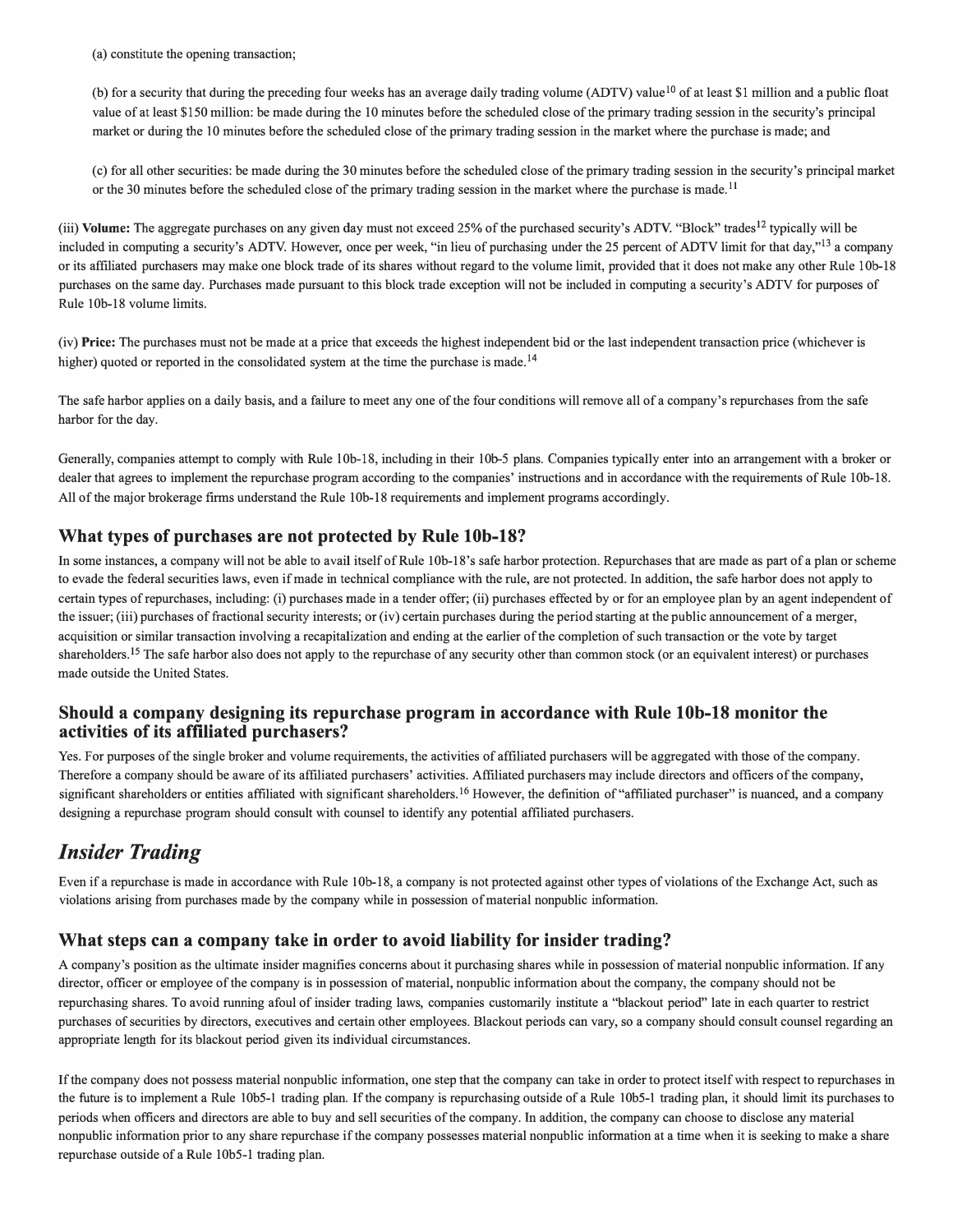(a) constitute the opening transaction;

(b) for a security that during the preceding four weeks has an average daily trading volume (ADTV) value<sup>10</sup> of at least \$1 million and a public float value of at least \$150 million: be made during the 10 minutes before the scheduled close of the primary trading session in the security's principal market or during the 10 minutes before the scheduled close of the primary trading session in the market where the purchase is made; and

(c) for all other securities: be made during the 30 minutes before the scheduled close of the primary trading session in the security's principal market or the 30 minutes before the scheduled close of the primary trading session in the market where the purchase is made.<sup>11</sup>

(iii) **Volume:** The aggregate purchases on any given day must not exceed 25% of the purchased security's ADTV. "Block" trades<sup>12</sup> typically will be included in computing a security's ADTV. However, once per week, "in lieu of purchasing under the 25 percent of ADTV limit for that day,"<sup>13</sup> a company or its affiliated purchasers may make one block trade of its shares without regard to the volume limit, provided that it does not make any other Rule 10b-18 purchases on the same day. Purchases made pursuant to this block trade exception will not be included in computing a security's ADTV for purposes of Rule l0b-18 volume limits.

(iv) **Price:** The purchases must not be made at a price that exceeds the highest independent bid or the last independent transaction price (whichever is higher) quoted or reported in the consolidated system at the time the purchase is made.<sup>14</sup>

The safe harbor applies on a daily basis, and a failure to meet any one of the four conditions will remove all of a company's repurchases from the safe harbor for the day.

Generally, companies attempt to comply with Rule l0b-18, including in their l0b-5 plans. Companies typically enter into an arrangement with a broker or dealer that agrees to implement the repurchase program according to the companies' instructions and in accordance with the requirements of Rule 10b-18. All of the major brokerage firms understand the Rule 10b-18 requirements and implement programs accordingly.

#### **What types of purchases are not protected by Rule lOb-18?**

In some instances, a company will not be able to avail itself of Rule 10b-18's safe harbor protection. Repurchases that are made as part of a plan or scheme to evade the federal securities laws, even if made in technical compliance with the rule, are not protected. In addition, the safe harbor does not apply to certain types ofrepurchases, including: (i) purchases made in a tender offer; (ii) purchases effected by or for an employee plan by an agent independent of the issuer; (iii) purchases of fractional security interests; or (iv) certain purchases during the period starting at the public announcement of a merger, acquisition or similar transaction involving a recapitalization and ending at the earlier of the completion of such transaction or the vote by target shareholders.<sup>15</sup> The safe harbor also does not apply to the repurchase of any security other than common stock (or an equivalent interest) or purchases made outside the United States.

#### **Should a company designing its repurchase program in accordance with Rule lOb-18 monitor the activities of its affiliated purchasers?**

Yes. For purposes of the single broker and volume requirements, the activities of affiliated purchasers will be aggregated with those of the company. Therefore a company should be aware of its affiliated purchasers' activities. Affiliated purchasers may include directors and officers of the company, significant shareholders or entities affiliated with significant shareholders.<sup>16</sup> However, the definition of "affiliated purchaser" is nuanced, and a company designing a repurchase program should consult with counsel to identify any potential affiliated purchasers.

# *Insider Trading*

Even if a repurchase is made in accordance with Rule I 0b-18, a company is not protected against other types of violations of the Exchange Act, such as violations arising from purchases made by the company while in possession of material nonpublic information.

### **What steps can a company take in order to avoid liability for insider trading?**

A company's position as the ultimate insider magnifies concerns about it purchasing shares while in possession of material nonpublic information. If any director, officer or employee of the company is in possession of material, nonpublic information about the company, the company should not be repurchasing shares. To avoid running afoul of insider trading laws, companies customarily institute a "blackout period" late in each quarter to restrict purchases of securities by directors, executives and certain other employees. Blackout periods can vary, so a company should consult counsel regarding an appropriate length for its blackout period given its individual circumstances.

If the company does not possess material nonpublic information, one step that the company can take in order to protect itself with respect to repurchases in the future is to implement a Rule 10b5-I trading plan. If the company is repurchasing outside of a Rule 10b5-1 trading plan, it should limit its purchases to periods when officers and directors are able to buy and sell securities of the company. In addition, the company can choose to disclose any material nonpublic information prior to any share repurchase if the company possesses material nonpublic information at a time when it is seeking to make a share repurchase outside of a Rule 10b5-1 trading plan.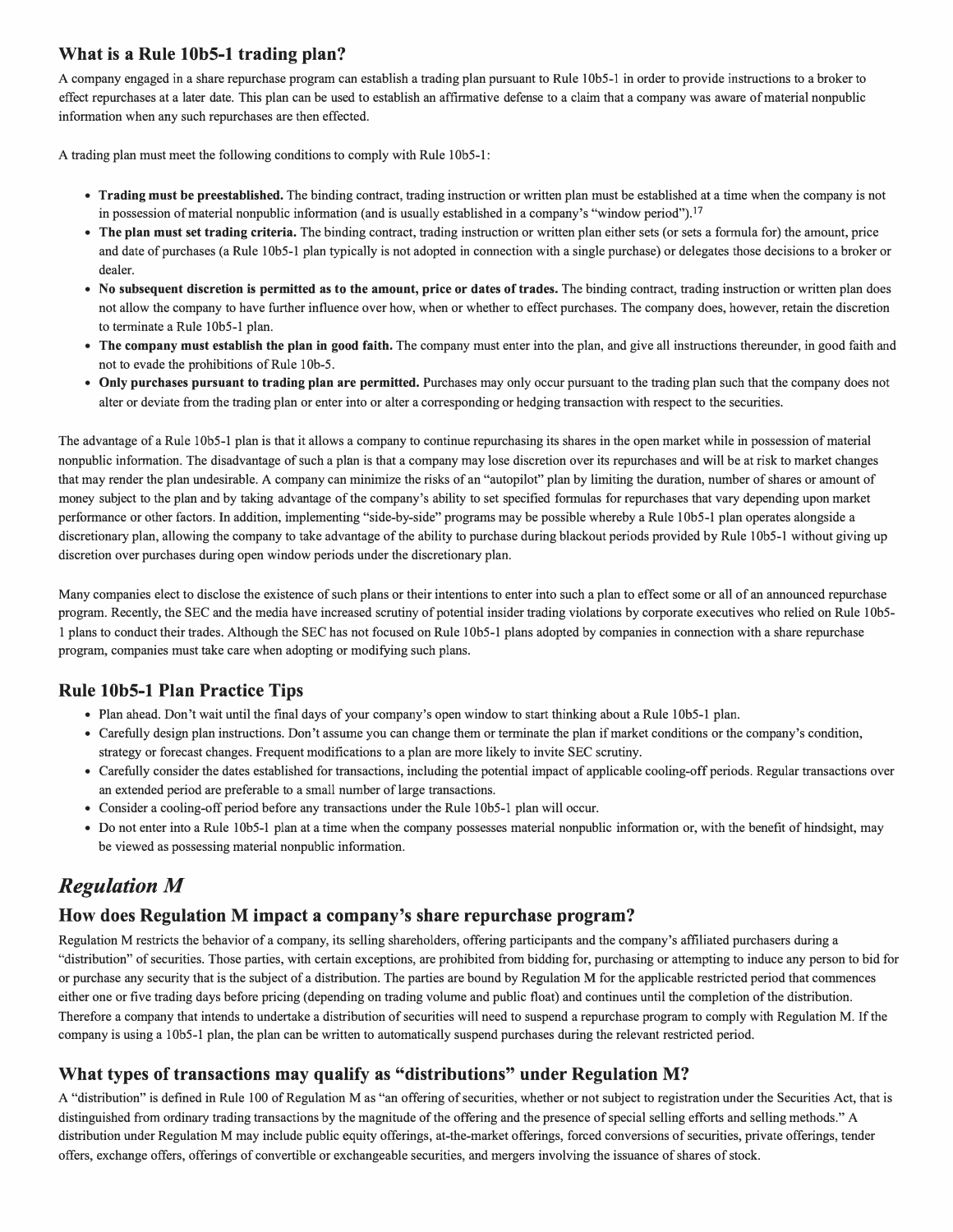### **What is a Rule 10b5-1 trading plan?**

A company engaged in a share repurchase program can establish a trading plan pursuant to Rule l 0b5-l in order to provide instructions to a broker to effect repurchases at a later date. This plan can be used to establish an affirmative defense to a claim that a company was aware of material nonpublic information when any such repurchases are then effected.

A trading plan must meet the following conditions to comply with Rule 10b5-1:

- **Trading must be preestablished.** The binding contract, trading instruction or written plan must be established at a time when the company is not in possession of material nonpublic information (and is usually established in a company's "window period").17
- **The plan must set trading criteria.** The binding contract, trading instruction or written plan either sets (or sets a formula for) the amount, price and date of purchases (a Rule 10b5-1 plan typically is not adopted in connection with a single purchase) or delegates those decisions to a broker or dealer.
- **No subsequent discretion is permitted as to the amount, price or dates of trades.** The binding contract, trading instruction or written plan does not allow the company to have further influence over how, when or whether to effect purchases. The company does, however, retain the discretion to terminate a Rule 10b5-1 plan.
- **The company must establish the plan in good faith.** The company must enter into the plan, and give all instructions thereunder, in good faith and not to evade the prohibitions of Rule l0b-5.
- **Only purchases pursuant to trading plan are permitted.** Purchases may only occur pursuant to the trading plan such that the company does not alter or deviate from the trading plan or enter into or alter a corresponding or hedging transaction with respect to the securities.

The advantage of a Rule 10b5-1 plan is that it allows a company to continue repurchasing its shares in the open market while in possession of material nonpublic information. The disadvantage of such a plan is that a company may lose discretion over its repurchases and will be at risk to market changes that may render the plan undesirable. A company can minimize the risks of an "autopilot" plan by limiting the duration, number of shares or amount of money subject to the plan and by taking advantage of the company's ability to set specified formulas for repurchases that vary depending upon market performance or other factors. In addition, implementing "side-by-side" programs may be possible whereby a Rule 10b5-l plan operates alongside a discretionary plan, allowing the company to take advantage of the ability to purchase during blackout periods provided by Rule I 0b5-l without giving up discretion over purchases during open window periods under the discretionary plan.

Many companies elect to disclose the existence of such plans or their intentions to enter into such a plan to effect some or all of an announced repurchase program. Recently, the SEC and the media have increased scrutiny of potential insider trading violations by corporate executives who relied on Rule 10b5 l plans to conduct their trades. Although the SEC has not focused on Rule 10b5-1 plans adopted by companies in connection with a share repurchase program, companies must take care when adopting or modifying such plans.

### **Rule 10b5-1 Plan Practice Tips**

- Plan ahead. Don't wait until the final days of your company's open window to start thinking about a Rule 10b5-1 plan.
- Carefully design plan instructions. Don't assume you can change them or terminate the plan if market conditions or the company's condition, strategy or forecast changes. Frequent modifications to a plan are more likely to invite SEC scrutiny.
- Carefully consider the dates established for transactions, including the potential impact of applicable cooling-off periods. Regular transactions over an extended period are preferable to a small number of large transactions.
- Consider a cooling-off period before any transactions under the Rule 10b5-1 plan will occur.
- Do not enter into a Rule 10b5-l plan at a time when the company possesses material nonpublic information or, with the benefit of hindsight, may be viewed as possessing material nonpublic information.

# *Regulation M*

### **How does Regulation M impact a company's share repurchase program?**

Regulation M restricts the behavior of a company, its selling shareholders, offering participants and the company's affiliated purchasers during a "distribution" of securities. Those parties, with certain exceptions, are prohibited from bidding for, purchasing or attempting to induce any person to bid for or purchase any security that is the subject of a distribution. The parties are bound by Regulation M for the applicable restricted period that commences either one or five trading days before pricing (depending on trading volume and public float) and continues until the completion of the distribution. Therefore a company that intends to undertake a distribution of securities will need to suspend a repurchase program to comply with Regulation M. If the company is using a 10b5-l plan, the plan can be written to automatically suspend purchases during the relevant restricted period.

### **What types of transactions may qualify as "distributions" under Regulation M?**

A "distribution" is defined in Rule 100 of Regulation M as "an offering of securities, whether or not subject to registration under the Securities Act, that is distinguished from ordinary trading transactions by the magnitude of the offering and the presence of special selling efforts and selling methods." A distribution under Regulation M may include public equity offerings, at-the-market offerings, forced conversions of securities, private offerings, tender offers, exchange offers, offerings of convertible or exchangeable securities, and mergers involving the issuance of shares of stock.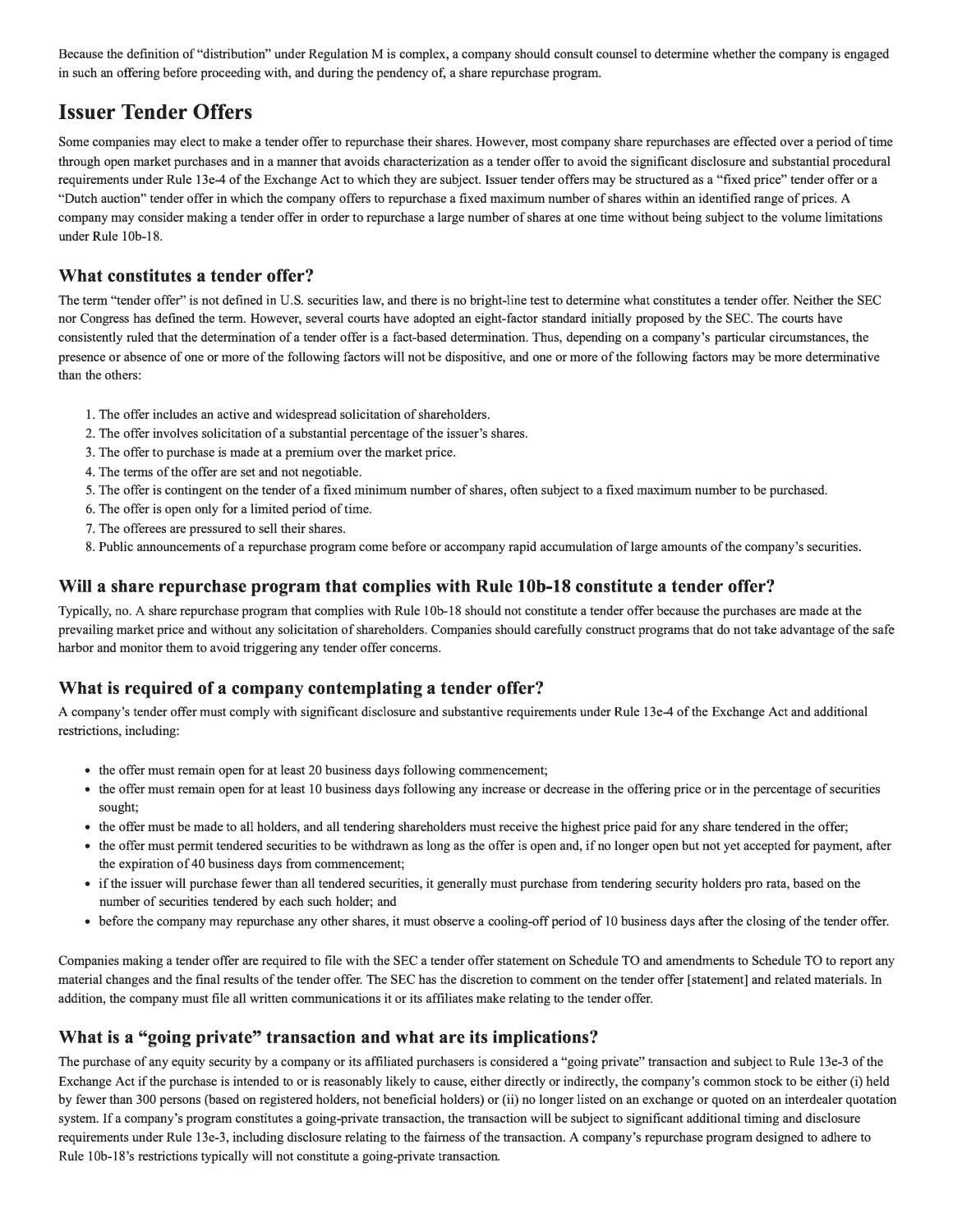Because the definition of "distribution" under Regulation M is complex, a company should consult counsel to determine whether the company is engaged in such an offering before proceeding with, and during the pendency of, a share repurchase program.

# **Issuer Tender Offers**

Some companies may elect to make a tender offer to repurchase their shares. However, most company share repurchases are effected over a period of time through open market purchases and in a manner that avoids characterization as a tender offer to avoid the significant disclosure and substantial procedural requirements under Rule l3e-4 of the Exchange Act to which they are subject. Issuer tender offers may be structured as a "fixed price" tender offer or a "Dutch auction" tender offer in which the company offers to repurchase a fixed maximum number of shares within an identified range of prices. A company may consider making a tender offer in order to repurchase a large number of shares at one time without being subject to the volume limitations under Rule l0b-18.

#### **What constitutes a tender offer?**

The term "tender offer" is not defined in U.S. securities law, and there is no bright-line test to determine what constitutes a tender offer. Neither the SEC nor Congress has defined the term. However, several courts have adopted an eight-factor standard initially proposed by the SEC. The courts have consistently ruled that the determination of a tender offer is a fact-based determination. Thus, depending on a company's particular circumstances, the presence or absence of one or more of the following factors will not be dispositive, and one or more of the following factors may be more determinative than the others:

- 1. The offer includes an active and widespread solicitation of shareholders.
- 2. The offer involves solicitation of a substantial percentage of the issuer's shares.
- 3. The offer to purchase is made at a premium over the market price.
- 4. The terms of the offer are set and not negotiable.
- 5. The offer is contingent on the tender of a fixed minimum number of shares, often subject to a fixed maximum number to be purchased.
- 6. The offer is open only for a limited period of time.
- 7. The offerees are pressured to sell their shares.
- 8. Public announcements of a repurchase program come before or accompany rapid accumulation of large amounts of the company's securities.

#### **Will a share repurchase program that complies with Rule lOb-18 constitute a tender offer?**

Typically, no. A share repurchase program that complies with Rule I 0b-18 should not constitute a tender offer because the purchases are made at the prevailing market price and without any solicitation of shareholders. Companies should carefully construct programs that do not take advantage of the safe harbor and monitor them to avoid triggering any tender offer concerns.

### **What is required of a company contemplating a tender offer?**

A company's tender offer must comply with significant disclosure and substantive requirements under Rule 13e-4 of the Exchange Act and additional restrictions, including:

- the offer must remain open for at least 20 business days following commencement;
- the offer must remain open for at least 10 business days following any increase or decrease in the offering price or in the percentage of securities sought;
- the offer must be made to all holders, and all tendering shareholders must receive the highest price paid for any share tendered in the offer;
- the offer must permit tendered securities to be withdrawn as long as the offer is open and, if no longer open but not yet accepted for payment, after the expiration of 40 business days from commencement;
- if the issuer will purchase fewer than all tendered securities, it generally must purchase from tendering security holders pro rata, based on the number of securities tendered by each such holder; and
- before the company may repurchase any other shares, it must observe a cooling-off period of IO business days after the closing of the tender offer.

Companies making a tender offer are required to file with the SEC a tender offer statement on Schedule TO and amendments to Schedule TO to report any material changes and the final results of the tender offer. The SEC has the discretion to comment on the tender offer [statement] and related materials. In addition, the company must file all written communications it or its affiliates make relating to the tender offer.

### **What is a "going private" transaction and what are its implications?**

The purchase of any equity security by a company or its affiliated purchasers is considered a "going private" transaction and subject to Rule 13e-3 oftbe Exchange Act if the purchase is intended to or is reasonably likely to cause, either directly or indirectly, the company's common stock to be either (i) held by fewer than 300 persons (based on registered holders, not beneficial holders) or (ii) no longer listed on an exchange or quoted on an interdealer quotation system. If a company's program constitutes a going-private transaction, the transaction will be subject to significant additional timing and disclosure requirements under Rule 13e-3, including disclosure relating to the fairness of the transaction. A company's repurchase program designed to adhere to Rule 10b-18's restrictions typically will not constitute a going-private transaction.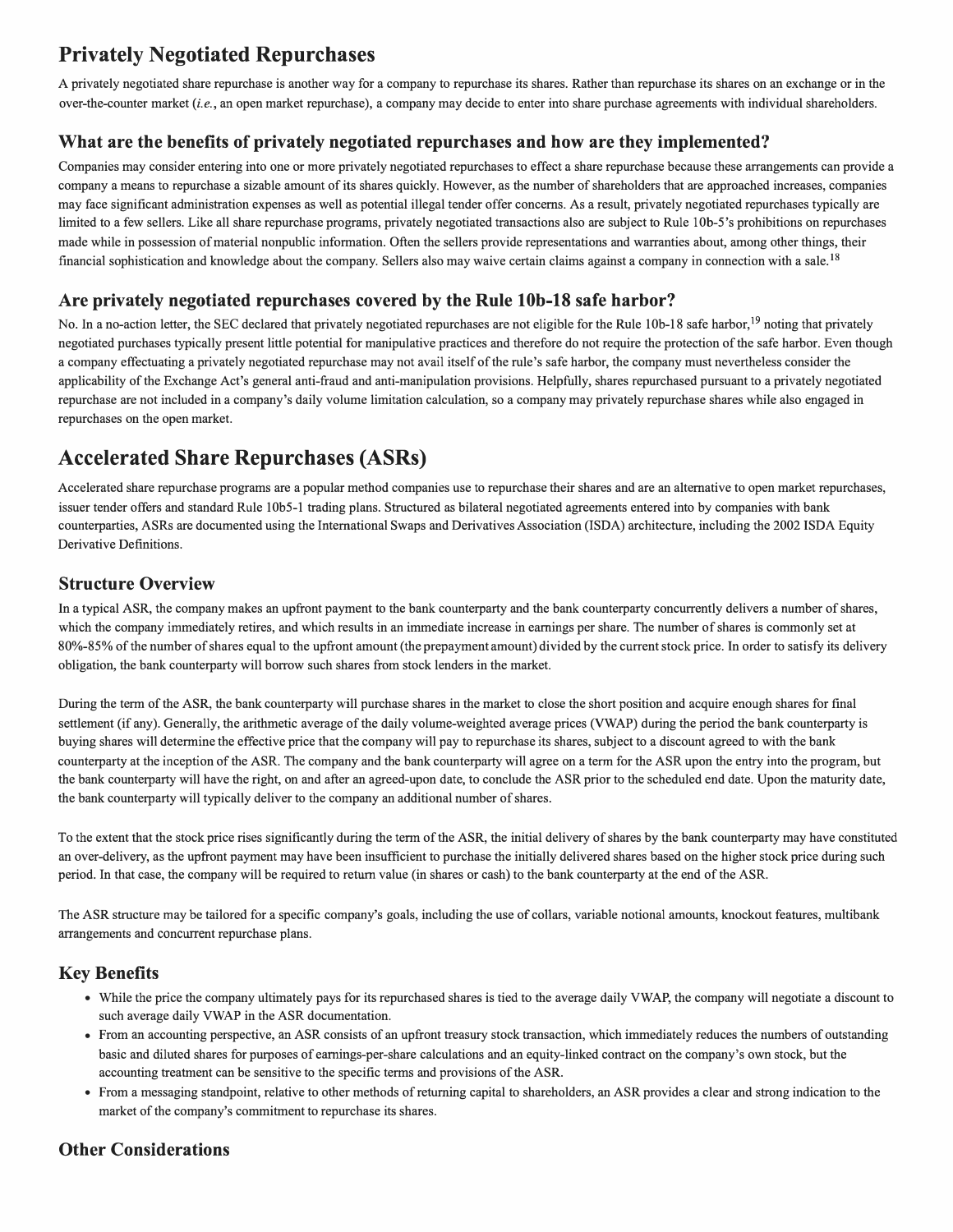# **Privately Negotiated Repurchases**

A privately negotiated share repurchase is another way for a company to repurchase its shares. Rather than repurchase its shares on an exchange or in the over-the-counter market *(i.e.,* an open market repurchase), a company may decide to enter into share purchase agreements with individual shareholders.

### **What are the benefits of privately negotiated repurchases and how are they implemented?**

Companies may consider entering into one or more privately negotiated repurchases to effect a share repurchase because these arrangements can provide a company a means to repurchase a sizable amount of its shares quickly. However, as the number of shareholders that are approached increases, companies may face significant administration expenses as well as potential illegal tender offer concerns. As a result, privately negotiated repurchases typically are limited to a few sellers. Like all share repurchase programs, privately negotiated transactions also are subject to Rule 10b-5's prohibitions on repurchases made while in possession of material nonpublic information. Often the sellers provide representations and warranties about, among other things, their financial sophistication and knowledge about the company. Sellers also may waive certain claims against a company in connection with a sale. <sup>18</sup>

### **Are privately negotiated repurchases covered by the Rule lOb-18 safe harbor?**

No. In a no-action letter, the SEC declared that privately negotiated repurchases are not eligible for the Rule 10b-18 safe harbor,<sup>19</sup> noting that privately negotiated purchases typically present little potential for manipulative practices and therefore do not require the protection of the safe harbor. Even though a company effectuating a privately negotiated repurchase may not avail itself of the rule's safe harbor, the company must nevertheless consider the applicability of the Exchange Act's general anti-fraud and anti-manipulation provisions. Helpfully, shares repurchased pursuant to a privately negotiated repurchase are not included in a company's daily volume limitation calculation, so a company may privately repurchase shares while also engaged in repurchases on the open market.

# **Accelerated Share Repurchases (ASRs)**

Accelerated share repurchase programs are a popular method companies use to repurchase their shares and are an alternative to open market repurchases, issuer tender offers and standard Rule 10b5-l trading plans. Structured as bilateral negotiated agreements entered into by companies with bank counterparties, ASRs are documented using the International Swaps and Derivatives Association (ISDA) architecture, including the 2002 ISDA Equity Derivative Definitions.

### **Structure Overview**

In a typical ASR, the company makes an upfront payment to the bank counterparty and the bank counterparty concurrently delivers a number of shares, which the company immediately retires, and which results in an immediate increase in earnings per share. The number of shares is commonly set at 80%-85% of the number of shares equal to the upfront amount (the prepayment amount) divided by the current stock price. In order to satisfy its delivery obligation, the bank counterparty will borrow such shares from stock lenders in the market.

During the term of the ASR, the bank counterparty will purchase shares in the market to close the short position and acquire enough shares for final settlement (if any). Generally, the arithmetic average of the daily volume-weighted average prices (VWAP) during the period the bank counterparty is buying shares will determine the effective price that the company will pay to repurchase its shares, subject to a discount agreed to with the bank counterparty at the inception of the ASR. The company and the bank counterparty will agree on a term for the ASR upon the entry into the program, but the bank counterparty will have the right, on and after an agreed-upon date, to conclude the ASR prior to the scheduled end date. Upon the maturity date, the bank counterparty will typically deliver to the company an additional number of shares.

To the extent that the stock price rises significantly during the term of the ASR, the initial delivery of shares by the bank counterparty may have constituted an over-delivery, as the upfront payment may have been insufficient to purchase the initially delivered shares based on the higher stock price during such period. In that case, the company will be required to return value (in shares or cash) to the bank counterparty at the end of the ASR.

The ASR structure may be tailored for a specific company's goals, including the use of collars, variable notional amounts, knockout features, multibank arrangements and concurrent repurchase plans.

### **Key Benefits**

- While the price the company ultimately pays for its repurchased shares is tied to the average daily VWAP, the company will negotiate a discount to such average daily VWAP in the ASR documentation.
- From an accounting perspective, an ASR consists of an upfront treasury stock transaction, which immediately reduces the numbers of outstanding basic and diluted shares for purposes of earnings-per-share calculations and an equity-linked contract on the company's own stock, but the accounting treatment can be sensitive to the specific terms and provisions of the ASR.
- From a messaging standpoint, relative to other methods of returning capital to shareholders, an ASR provides a clear and strong indication to the market of the company's commitment to repurchase its shares.

### **Other Considerations**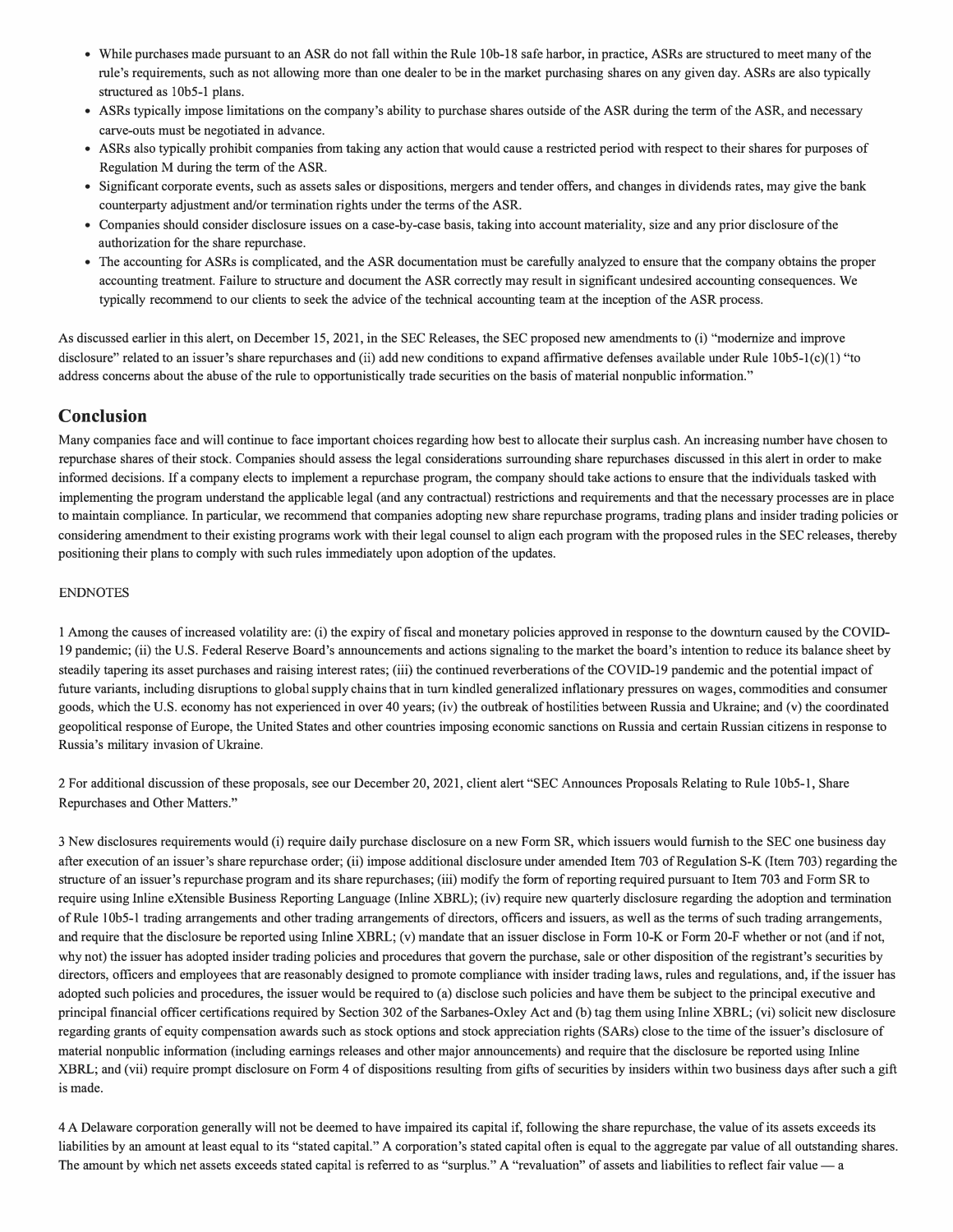- While purchases made pursuant to an ASR do not fall within the Rule 10b-18 safe harbor, in practice, ASRs are structured to meet many of the rule's requirements, such as not allowing more than one dealer to be in the market purchasing shares on any given day. ASRs are also typically structured as 10b5-1 plans.
- ASRs typically impose limitations on the company's ability to purchase shares outside of the ASR during the term of the ASR, and necessary carve-outs must be negotiated in advance.
- ASRs also typically prohibit companies from taking any action that would cause a restricted period with respect to their shares for purposes of Regulation M during the term of the ASR.
- Significant corporate events, such as assets sales or dispositions, mergers and tender offers, and changes in dividends rates, may give the bank counterparty adjustment and/or termination rights under the terms of the ASR.
- Companies should consider disclosure issues on a case-by-case basis, taking into account materiality, size and any prior disclosure of the authorization for the share repurchase.
- The accounting for ASRs is complicated, and the ASR documentation must be carefully analyzed to ensure that the company obtains the proper accounting treatment. Failure to structure and document the ASR correctly may result in significant undesired accounting consequences. We typically recommend to our clients to seek the advice of the technical accounting team at the inception of the ASR process.

As discussed earlier in this alert, on December 15, 2021, in the SEC Releases, the SEC proposed new amendments to (i) "modernize and improve disclosure" related to an issuer's share repurchases and (ii) add new conditions to expand affirmative defenses available under Rule 10b5-1(c)(1) "to address concerns about the abuse of the rule to opportunistically trade securities on the basis of material nonpublic information."

#### **Conclusion**

Many companies face and will continue to face important choices regarding how best to allocate their surplus cash. An increasing number have chosen to repurchase shares of their stock. Companies should assess the legal considerations surrounding share repurchases discussed in this alert in order to make informed decisions. If a company elects to implement a repurchase program, the company should take actions to ensure that the individuals tasked with implementing the program understand the applicable legal (and any contractual) restrictions and requirements and that the necessary processes are in place to maintain compliance. In particular, we recommend that companies adopting new share repurchase programs, trading plans and insider trading policies or considering amendment to their existing programs work with their legal counsel to align each program with the proposed rules in the SEC releases, thereby positioning their plans to comply with such rules immediately upon adoption of the updates.

#### ENDNOTES

1 Among the causes of increased volatility are: (i) the expiry of fiscal and monetary policies approved in response to the downturn caused by the COVID-19 pandemic; (ii) the U.S. Federal Reserve Board's announcements and actions signaling to the market the board's intention to reduce its balance sheet by steadily tapering its asset purchases and raising interest rates; (iii) the continued reverberations of the COVID-19 pandemic and the potential impact of future variants, including disruptions to global supply chains that in tum kindled generalized inflationary pressures on wages, commodities and consumer goods, which the U.S. economy has not experienced in over 40 years; (iv) the outbreak of hostilities between Russia and Ukraine; and (v) the coordinated geopolitical response of Europe, the United States and other countries imposing economic sanctions on Russia and certain Russian citizens in response to Russia's military invasion of Ukraine.

2 For additional discussion of these proposals, see our December 20, 2021, client alert "SEC Announces Proposals Relating to Rule 1 0b5-l, Share Repurchases and Other Matters."

3 New disclosures requirements would (i) require daily purchase disclosure on a new Form SR, which issuers would furnish to the SEC one business day after execution of an issuer's share repurchase order; (ii) impose additional disclosure under amended Item 703 of Regulation S-K (Item 703) regarding the structure of an issuer's repurchase program and its share repurchases; (iii) modify the form ofreporting required pursuant to Item 703 and Form SR to require using Inline eXtensible Business Reporting Language (Inline XBRL); (iv) require new quarterly disclosure regarding the adoption and termination of Rule I 0b5-1 trading arrangements and other trading arrangements of directors, officers and issuers, as well as the terms of such trading arrangements, and require that the disclosure be reported using Inline XBRL; (v) mandate that an issuer disclose in Form 10-K or Form 20-F whether or not (and if not, why not) the issuer has adopted insider trading policies and procedures that govern the purchase, sale or other disposition of the registrant's securities by directors, officers and employees that are reasonably designed to promote compliance with insider trading laws, rules and regulations, and, if the issuer has adopted such policies and procedures, the issuer would be required to (a) disclose such policies and have them be subject to the principal executive and principal financial officer certifications required by Section 302 of the Sarbanes-Oxley Act and (b) tag them using Inline XBRL; (vi) solicit new disclosure regarding grants of equity compensation awards such as stock options and stock appreciation rights (SARs) close to the time of the issuer's disclosure of material nonpublic information (including earnings releases and other major announcements) and require that the disclosure be reported using Inline XBRL; and ( vii) require prompt disclosure on Form 4 of dispositions resulting from gifts of securities by insiders within two business days after such a gift is made.

4 A Delaware corporation generally will not be deemed to have impaired its capital if, following the share repurchase, the value of its assets exceeds its liabilities by an amount at least equal to its "stated capital." A corporation's stated capital often is equal to the aggregate par value of all outstanding shares. The amount by which net assets exceeds stated capital is referred to as "surplus." A "revaluation" of assets and liabilities to reflect fair value  $-$  a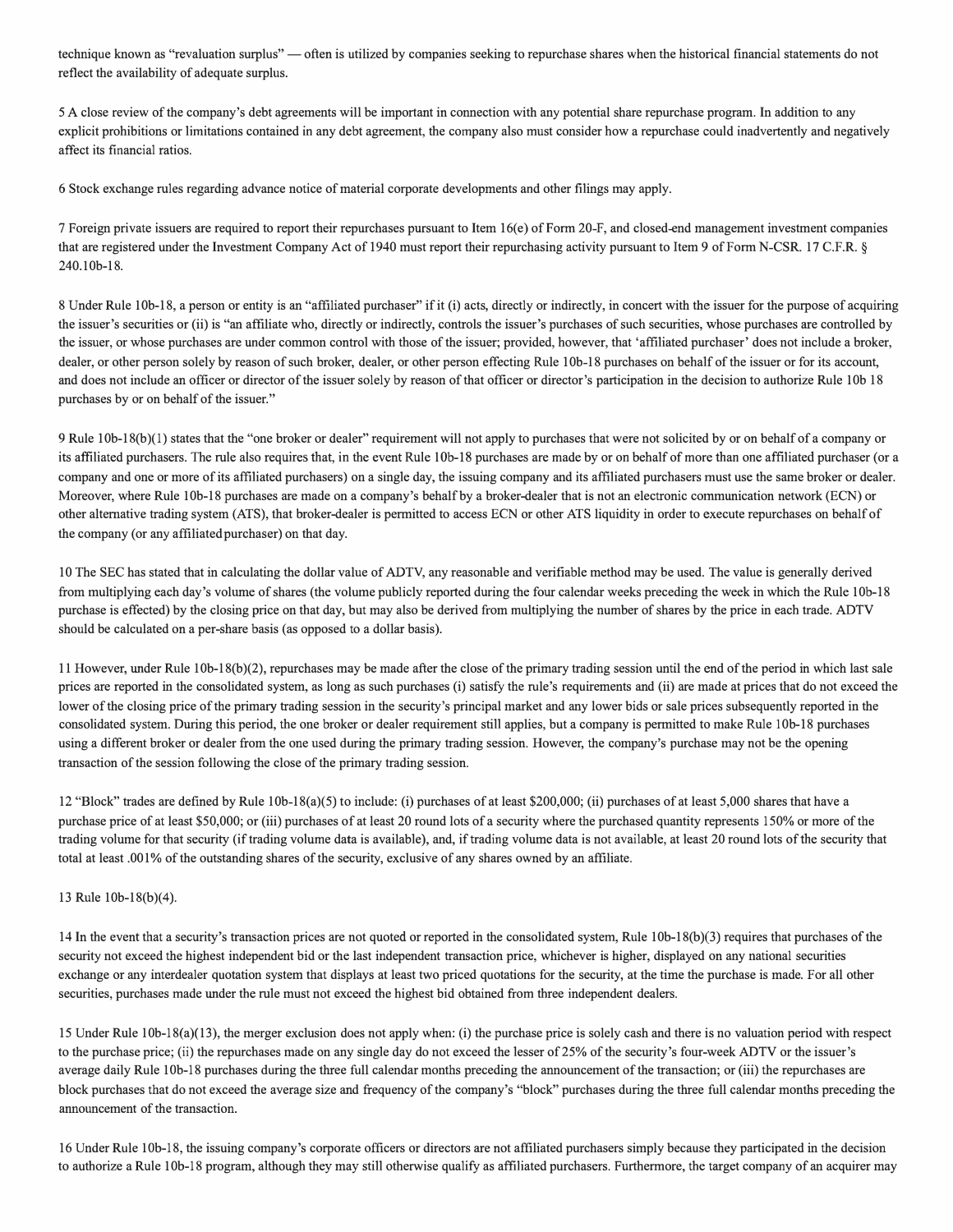technique known as "revaluation surplus" — often is utilized by companies seeking to repurchase shares when the historical financial statements do not reflect the availability of adequate surplus.

5 A close review of the company's debt agreements will be important in connection with any potential share repurchase program. In addition to any explicit prohibitions or limitations contained in any debt agreement, the company also must consider how a repurchase could inadvertently and negatively affect its financial ratios.

6 Stock exchange rules regarding advance notice of material corporate developments and other filings may apply.

7 Foreign private issuers are required to report their repurchases pursuant to Item 16( e) of Form 20-F, and closed-end management investment companies that are registered under the Investment Company Act of 1940 must report their repurchasing activity pursuant to Item 9 of Form N-CSR. 17 C.F.R. § 240.l0b-18.

8 Under Rule 10b-18, a person or entity is an "affiliated purchaser" if it (i) acts, directly or indirectly, in concert with the issuer for the purpose of acquiring the issuer's securities or (ii) is "an affiliate who, directly or indirectly, controls the issuer's purchases of such securities, whose purchases are controlled by the issuer, or whose purchases are under common control with those of the issuer; provided, however, that 'affiliated purchaser' does not include a broker, dealer, or other person solely by reason of such broker, dealer, or other person effecting Rule 1 0b-18 purchases on behalf of the issuer or for its account, and does not include an officer or director of the issuer solely by reason of that officer or director's participation in the decision to authorize Rule l0b 18 purchases by or on behalf of the issuer."

9 Rule 1 0b-1 S(b )(1) states that the "one broker or dealer" requirement will not apply to purchases that were not solicited by or on behalf of a company or its affiliated purchasers. The rule also requires that, in the event Rule I0b-18 purchases are made by or on behalf of more than one affiliated purchaser (or a company and one or more of its affiliated purchasers) on a single day, the issuing company and its affiliated purchasers must use the same broker or dealer. Moreover, where Rule l0b-18 purchases are made on a company's behalf by a broker-dealer that is not an electronic communication network (ECN) or other alternative trading system (ATS), that broker-dealer is permitted to access ECN or other ATS liquidity in order to execute repurchases on behalf of the company (or any affiliated purchaser) on that day.

10 The SEC has stated that in calculating the dollar value of ADTV, any reasonable and verifiable method may be used. The value is generally derived from multiplying each day's volume of shares (the volume publicly reported during the four calendar weeks preceding the week in which the Rule l0b-18 purchase is effected) by the closing price on that day, but may also be derived from multiplying the number of shares by the price in each trade. ADTV should be calculated on a per-share basis (as opposed to a dollar basis).

11 However, under Rule 10b-18(b)(2), repurchases may be made after the close of the primary trading session until the end of the period in which last sale prices are reported in the consolidated system, as long as such purchases (i) satisfy the rule's requirements and (ii) are made at prices that do not exceed the lower of the closing price of the primary trading session in the security's principal market and any lower bids or sale prices subsequently reported in the consolidated system. During this period, the one broker or dealer requirement still applies, but a company is permitted to make Rule I 0b-18 purchases using a different broker or dealer from the one used during the primary trading session. However, the company's purchase may not be the opening transaction of the session following the close of the primary trading session.

12 "Block" trades are defined by Rule 10b-18(a)(5) to include: (i) purchases of at least \$200,000; (ii) purchases of at least 5,000 shares that have a purchase price of at least \$50,000; or (iii) purchases of at least 20 round lots of a security where the purchased quantity represents 150% or more of the trading volume for that security (if trading volume data is available), and, if trading volume data is not available, at least 20 round lots of the security that total at least .001 % of the outstanding shares of the security, exclusive of any shares owned by an affiliate.

#### 13 Rule 10b-18(b)(4).

14 In the event that a security's transaction prices are not quoted or reported in the consolidated system, Rule 10b-18(b)(3) requires that purchases of the security not exceed the highest independent bid or the last independent transaction price, whichever is higher, displayed on any national securities exchange or any interdealer quotation system that displays at least two priced quotations for the security, at the time the purchase is made. For all other securities, purchases made under the rule must not exceed the highest bid obtained from three independent dealers.

15 Under Rule 10b-18(a)(l3), the merger exclusion does not apply when: (i) the purchase price is solely cash and there is no valuation period with respect to the purchase price; (ii) the repurchases made on any single day do not exceed the lesser of25% of the security's four-week ADTV or the issuer's average daily Rule 10b-18 purchases during the three full calendar months preceding the announcement of the transaction; or (iii) the repurchases are block purchases that do not exceed the average size and frequency of the company's "block" purchases during the three full calendar months preceding the announcement of the transaction.

16 Under Rule lOb-18, the issuing company's corporate officers or directors are not affiliated purchasers simply because they participated in the decision to authorize a Rule l0b-18 program, although they may still otherwise qualify as affiliated purchasers. Furthermore, the target company of an acquirer may